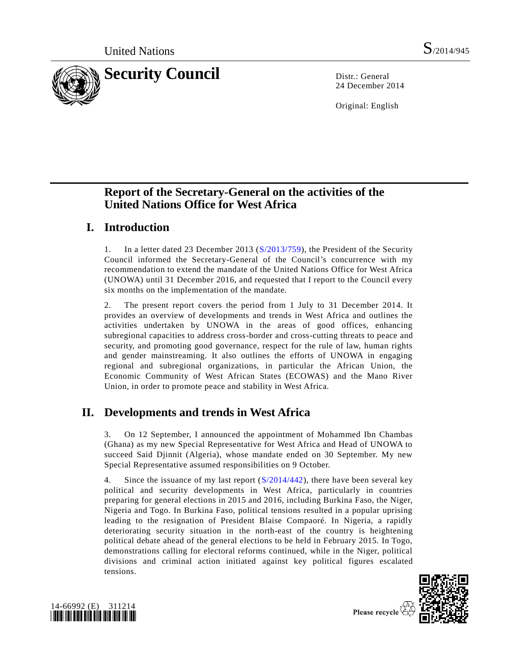

24 December 2014

Original: English

# **Report of the Secretary-General on the activities of the United Nations Office for West Africa**

# **I. Introduction**

1. In a letter dated 23 December 2013 [\(S/2013/759\)](http://undocs.org/S/2013/759), the President of the Security Council informed the Secretary-General of the Council's concurrence with my recommendation to extend the mandate of the United Nations Office for West Africa (UNOWA) until 31 December 2016, and requested that I report to the Council every six months on the implementation of the mandate.

2. The present report covers the period from 1 July to 31 December 2014. It provides an overview of developments and trends in West Africa and outlines the activities undertaken by UNOWA in the areas of good offices, enhancing subregional capacities to address cross-border and cross-cutting threats to peace and security, and promoting good governance, respect for the rule of law, human rights and gender mainstreaming. It also outlines the efforts of UNOWA in engaging regional and subregional organizations, in particular the African Union, the Economic Community of West African States (ECOWAS) and the Mano River Union, in order to promote peace and stability in West Africa.

# **II. Developments and trends in West Africa**

3. On 12 September, I announced the appointment of Mohammed Ibn Chambas (Ghana) as my new Special Representative for West Africa and Head of UNOWA to succeed Said Djinnit (Algeria), whose mandate ended on 30 September. My new Special Representative assumed responsibilities on 9 October.

4. Since the issuance of my last report [\(S/2014/442\)](http://undocs.org/S/2014/442), there have been several key political and security developments in West Africa, particularly in countries preparing for general elections in 2015 and 2016, including Burkina Faso, the Niger, Nigeria and Togo. In Burkina Faso, political tensions resulted in a popular uprising leading to the resignation of President Blaise Compaoré. In Nigeria, a rapidly deteriorating security situation in the north-east of the country is heightening political debate ahead of the general elections to be held in February 2015. In Togo, demonstrations calling for electoral reforms continued, while in the Niger, political divisions and criminal action initiated against key political figures escalated tensions.





Please recycle  $\langle$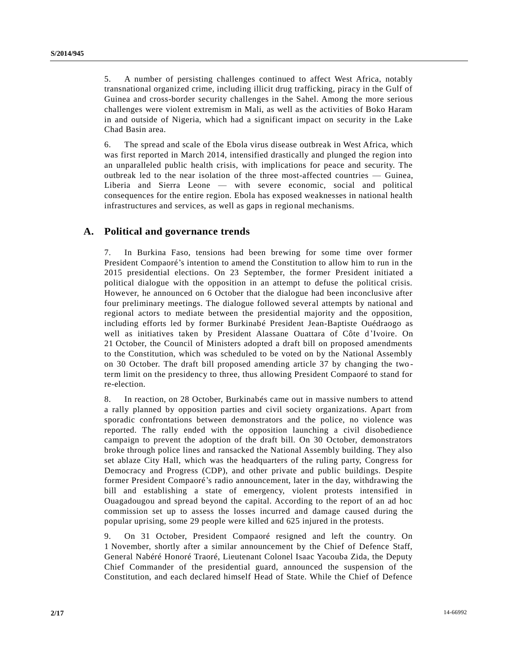5. A number of persisting challenges continued to affect West Africa, notably transnational organized crime, including illicit drug trafficking, piracy in the Gulf of Guinea and cross-border security challenges in the Sahel. Among the more serious challenges were violent extremism in Mali, as well as the activities of Boko Haram in and outside of Nigeria, which had a significant impact on security in the Lake Chad Basin area.

6. The spread and scale of the Ebola virus disease outbreak in West Africa, which was first reported in March 2014, intensified drastically and plunged the region into an unparalleled public health crisis, with implications for peace and security. The outbreak led to the near isolation of the three most-affected countries — Guinea, Liberia and Sierra Leone — with severe economic, social and political consequences for the entire region. Ebola has exposed weaknesses in national health infrastructures and services, as well as gaps in regional mechanisms.

### **A. Political and governance trends**

7. In Burkina Faso, tensions had been brewing for some time over former President Compaoré's intention to amend the Constitution to allow him to run in the 2015 presidential elections. On 23 September, the former President initiated a political dialogue with the opposition in an attempt to defuse the political crisis. However, he announced on 6 October that the dialogue had been inconclusive after four preliminary meetings. The dialogue followed several attempts by national and regional actors to mediate between the presidential majority and the opposition, including efforts led by former Burkinabé President Jean-Baptiste Ouédraogo as well as initiatives taken by President Alassane Ouattara of Côte d'Ivoire. On 21 October, the Council of Ministers adopted a draft bill on proposed amendments to the Constitution, which was scheduled to be voted on by the National Assembly on 30 October. The draft bill proposed amending article 37 by changing the two term limit on the presidency to three, thus allowing President Compaoré to stand for re-election.

8. In reaction, on 28 October, Burkinabés came out in massive numbers to attend a rally planned by opposition parties and civil society organizations. Apart from sporadic confrontations between demonstrators and the police, no violence was reported. The rally ended with the opposition launching a civil disobedience campaign to prevent the adoption of the draft bill. On 30 October, demonstrators broke through police lines and ransacked the National Assembly building. They also set ablaze City Hall, which was the headquarters of the ruling party, Congress for Democracy and Progress (CDP), and other private and public buildings. Despite former President Compaoré's radio announcement, later in the day, withdrawing the bill and establishing a state of emergency, violent protests intensified in Ouagadougou and spread beyond the capital. According to the report of an ad hoc commission set up to assess the losses incurred and damage caused during the popular uprising, some 29 people were killed and 625 injured in the protests.

9. On 31 October, President Compaoré resigned and left the country. On 1 November, shortly after a similar announcement by the Chief of Defence Staff, General Nabéré Honoré Traoré, Lieutenant Colonel Isaac Yacouba Zida, the Deputy Chief Commander of the presidential guard, announced the suspension of the Constitution, and each declared himself Head of State. While the Chief of Defence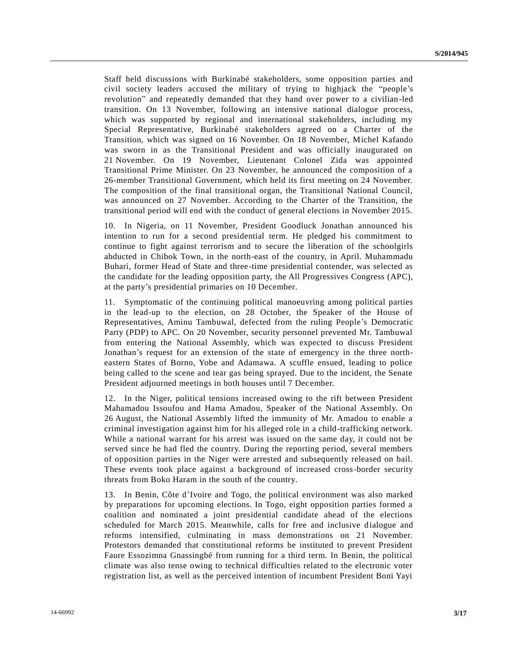Staff held discussions with Burkinabé stakeholders, some opposition parties and civil society leaders accused the military of trying to highjack the "people's revolution" and repeatedly demanded that they hand over power to a civilian-led transition. On 13 November, following an intensive national dialogue process, which was supported by regional and international stakeholders, including my Special Representative, Burkinabé stakeholders agreed on a Charter of the Transition, which was signed on 16 November. On 18 November, Michel Kafando was sworn in as the Transitional President and was officially inaugurated on 21 November. On 19 November, Lieutenant Colonel Zida was appointed Transitional Prime Minister. On 23 November, he announced the composition of a 26-member Transitional Government, which held its first meeting on 24 November. The composition of the final transitional organ, the Transitional National Council, was announced on 27 November. According to the Charter of the Transition, the transitional period will end with the conduct of general elections in November 2015.

10. In Nigeria, on 11 November, President Goodluck Jonathan announced his intention to run for a second presidential term. He pledged his commitment to continue to fight against terrorism and to secure the liberation of the schoolgirls abducted in Chibok Town, in the north-east of the country, in April. Muhammadu Buhari, former Head of State and three-time presidential contender, was selected as the candidate for the leading opposition party, the All Progressives Congress (APC), at the party's presidential primaries on 10 December.

11. Symptomatic of the continuing political manoeuvring among political parties in the lead-up to the election, on 28 October, the Speaker of the House of Representatives, Aminu Tambuwal, defected from the ruling People's Democratic Party (PDP) to APC. On 20 November, security personnel prevented Mr. Tambuwal from entering the National Assembly, which was expected to discuss President Jonathan's request for an extension of the state of emergency in the three northeastern States of Borno, Yobe and Adamawa. A scuffle ensued, leading to police being called to the scene and tear gas being sprayed. Due to the incident, the Senate President adjourned meetings in both houses until 7 December.

12. In the Niger, political tensions increased owing to the rift between President Mahamadou Issoufou and Hama Amadou, Speaker of the National Assembly. On 26 August, the National Assembly lifted the immunity of Mr. Amadou to enable a criminal investigation against him for his alleged role in a child-trafficking network. While a national warrant for his arrest was issued on the same day, it could not be served since he had fled the country. During the reporting period, several members of opposition parties in the Niger were arrested and subsequently released on bail. These events took place against a background of increased cross-border security threats from Boko Haram in the south of the country.

13. In Benin, Côte d'Ivoire and Togo, the political environment was also marked by preparations for upcoming elections. In Togo, eight opposition parties formed a coalition and nominated a joint presidential candidate ahead of the elections scheduled for March 2015. Meanwhile, calls for free and inclusive dialogue and reforms intensified, culminating in mass demonstrations on 21 November. Protestors demanded that constitutional reforms be instituted to prevent President Faure Essozimna Gnassingbé from running for a third term. In Benin, the political climate was also tense owing to technical difficulties related to the electronic voter registration list, as well as the perceived intention of incumbent President Boni Yayi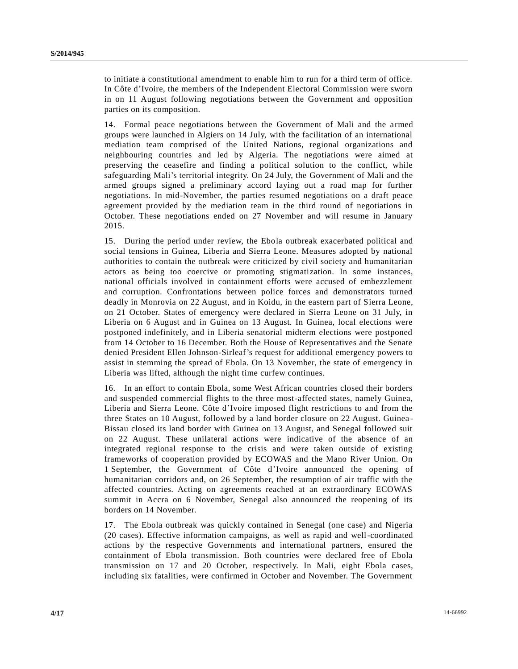to initiate a constitutional amendment to enable him to run for a third term of office. In Côte d'Ivoire, the members of the Independent Electoral Commission were sworn in on 11 August following negotiations between the Government and opposition parties on its composition.

14. Formal peace negotiations between the Government of Mali and the armed groups were launched in Algiers on 14 July, with the facilitation of an international mediation team comprised of the United Nations, regional organizations and neighbouring countries and led by Algeria. The negotiations were aimed at preserving the ceasefire and finding a political solution to the conflict, while safeguarding Mali's territorial integrity. On 24 July, the Government of Mali and the armed groups signed a preliminary accord laying out a road map for further negotiations. In mid-November, the parties resumed negotiations on a draft peace agreement provided by the mediation team in the third round of negotiations in October. These negotiations ended on 27 November and will resume in January 2015.

15. During the period under review, the Ebola outbreak exacerbated political and social tensions in Guinea, Liberia and Sierra Leone. Measures adopted by national authorities to contain the outbreak were criticized by civil society and humanitarian actors as being too coercive or promoting stigmatization. In some instances, national officials involved in containment efforts were accused of embezzlement and corruption. Confrontations between police forces and demonstrators turned deadly in Monrovia on 22 August, and in Koidu, in the eastern part of Sierra Leone, on 21 October. States of emergency were declared in Sierra Leone on 31 July, in Liberia on 6 August and in Guinea on 13 August. In Guinea, local elections were postponed indefinitely, and in Liberia senatorial midterm elections were postponed from 14 October to 16 December. Both the House of Representatives and the Senate denied President Ellen Johnson-Sirleaf's request for additional emergency powers to assist in stemming the spread of Ebola. On 13 November, the state of emergency in Liberia was lifted, although the night time curfew continues.

16. In an effort to contain Ebola, some West African countries closed their borders and suspended commercial flights to the three most-affected states, namely Guinea, Liberia and Sierra Leone. Côte d'Ivoire imposed flight restrictions to and from the three States on 10 August, followed by a land border closure on 22 August. Guinea - Bissau closed its land border with Guinea on 13 August, and Senegal followed suit on 22 August. These unilateral actions were indicative of the absence of an integrated regional response to the crisis and were taken outside of existing frameworks of cooperation provided by ECOWAS and the Mano River Union. On 1 September, the Government of Côte d'Ivoire announced the opening of humanitarian corridors and, on 26 September, the resumption of air traffic with the affected countries. Acting on agreements reached at an extraordinary ECOWAS summit in Accra on 6 November, Senegal also announced the reopening of its borders on 14 November.

17. The Ebola outbreak was quickly contained in Senegal (one case) and Nigeria (20 cases). Effective information campaigns, as well as rapid and well-coordinated actions by the respective Governments and international partners, ensured the containment of Ebola transmission. Both countries were declared free of Ebola transmission on 17 and 20 October, respectively. In Mali, eight Ebola cases, including six fatalities, were confirmed in October and November. The Government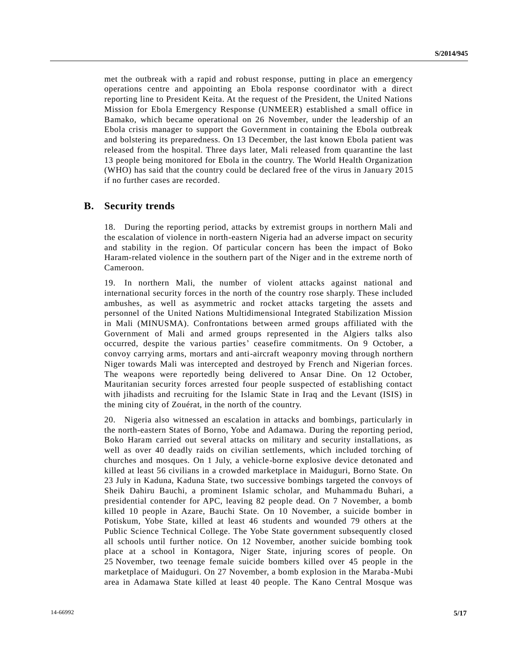met the outbreak with a rapid and robust response, putting in place an emergency operations centre and appointing an Ebola response coordinator with a direct reporting line to President Keita. At the request of the President, the United Nations Mission for Ebola Emergency Response (UNMEER) established a small office in Bamako, which became operational on 26 November, under the leadership of an Ebola crisis manager to support the Government in containing the Ebola outbreak and bolstering its preparedness. On 13 December, the last known Ebola patient was released from the hospital. Three days later, Mali released from quarantine the last 13 people being monitored for Ebola in the country. The World Health Organization (WHO) has said that the country could be declared free of the virus in Janua ry 2015 if no further cases are recorded.

#### **B. Security trends**

18. During the reporting period, attacks by extremist groups in northern Mali and the escalation of violence in north-eastern Nigeria had an adverse impact on security and stability in the region. Of particular concern has been the impact of Boko Haram-related violence in the southern part of the Niger and in the extreme north of Cameroon.

19. In northern Mali, the number of violent attacks against national and international security forces in the north of the country rose sharply. These included ambushes, as well as asymmetric and rocket attacks targeting the assets and personnel of the United Nations Multidimensional Integrated Stabilization Mission in Mali (MINUSMA). Confrontations between armed groups affiliated with the Government of Mali and armed groups represented in the Algiers talks also occurred, despite the various parties' ceasefire commitments. On 9 October, a convoy carrying arms, mortars and anti-aircraft weaponry moving through northern Niger towards Mali was intercepted and destroyed by French and Nigerian forces. The weapons were reportedly being delivered to Ansar Dine. On 12 October, Mauritanian security forces arrested four people suspected of establishing contact with jihadists and recruiting for the Islamic State in Iraq and the Levant (ISIS) in the mining city of Zouérat, in the north of the country.

20. Nigeria also witnessed an escalation in attacks and bombings, particularly in the north-eastern States of Borno, Yobe and Adamawa. During the reporting period, Boko Haram carried out several attacks on military and security installations, as well as over 40 deadly raids on civilian settlements, which included torching of churches and mosques. On 1 July, a vehicle-borne explosive device detonated and killed at least 56 civilians in a crowded marketplace in Maiduguri, Borno State. On 23 July in Kaduna, Kaduna State, two successive bombings targeted the convoys of Sheik Dahiru Bauchi, a prominent Islamic scholar, and Muhammadu Buhari, a presidential contender for APC, leaving 82 people dead. On 7 November, a bomb killed 10 people in Azare, Bauchi State. On 10 November, a suicide bomber in Potiskum, Yobe State, killed at least 46 students and wounded 79 others at the Public Science Technical College. The Yobe State government subsequently closed all schools until further notice. On 12 November, another suicide bombing took place at a school in Kontagora, Niger State, injuring scores of people. On 25 November, two teenage female suicide bombers killed over 45 people in the marketplace of Maiduguri. On 27 November, a bomb explosion in the Maraba -Mubi area in Adamawa State killed at least 40 people. The Kano Central Mosque was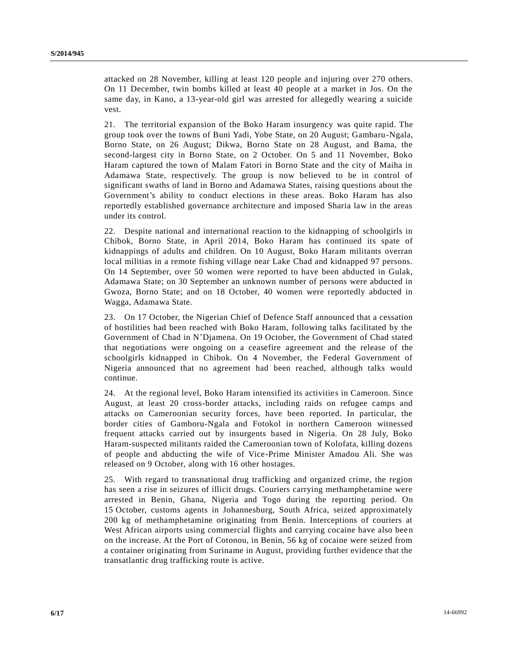attacked on 28 November, killing at least 120 people and injuring over 270 others. On 11 December, twin bombs killed at least 40 people at a market in Jos. On the same day, in Kano, a 13-year-old girl was arrested for allegedly wearing a suicide vest.

21. The territorial expansion of the Boko Haram insurgency was quite rapid. The group took over the towns of Buni Yadi, Yobe State, on 20 August; Gambaru-Ngala, Borno State, on 26 August; Dikwa, Borno State on 28 August, and Bama, the second-largest city in Borno State, on 2 October. On 5 and 11 November, Boko Haram captured the town of Malam Fatori in Borno State and the city of Maiha in Adamawa State, respectively. The group is now believed to be in control of significant swaths of land in Borno and Adamawa States, raising questions about the Government's ability to conduct elections in these areas. Boko Haram has also reportedly established governance architecture and imposed Sharia law in the areas under its control.

22. Despite national and international reaction to the kidnapping of schoolgirls in Chibok, Borno State, in April 2014, Boko Haram has continued its spate of kidnappings of adults and children. On 10 August, Boko Haram militants overran local militias in a remote fishing village near Lake Chad and kidnapped 97 persons. On 14 September, over 50 women were reported to have been abducted in Gulak, Adamawa State; on 30 September an unknown number of persons were abducted in Gwoza, Borno State; and on 18 October, 40 women were reportedly abducted in Wagga, Adamawa State.

23. On 17 October, the Nigerian Chief of Defence Staff announced that a cessation of hostilities had been reached with Boko Haram, following talks facilitated by the Government of Chad in N'Djamena. On 19 October, the Government of Chad stated that negotiations were ongoing on a ceasefire agreement and the release of the schoolgirls kidnapped in Chibok. On 4 November, the Federal Government of Nigeria announced that no agreement had been reached, although talks would continue.

24. At the regional level, Boko Haram intensified its activities in Cameroon. Since August, at least 20 cross-border attacks, including raids on refugee camps and attacks on Cameroonian security forces, have been reported. In particular, the border cities of Gamboru-Ngala and Fotokol in northern Cameroon witnessed frequent attacks carried out by insurgents based in Nigeria. On 28 July, Boko Haram-suspected militants raided the Cameroonian town of Kolofata, killing dozens of people and abducting the wife of Vice-Prime Minister Amadou Ali. She was released on 9 October, along with 16 other hostages.

25. With regard to transnational drug trafficking and organized crime, the region has seen a rise in seizures of illicit drugs. Couriers carrying methamphetamine were arrested in Benin, Ghana, Nigeria and Togo during the reporting period. On 15 October, customs agents in Johannesburg, South Africa, seized approximately 200 kg of methamphetamine originating from Benin. Interceptions of couriers at West African airports using commercial flights and carrying cocaine have also been on the increase. At the Port of Cotonou, in Benin, 56 kg of cocaine were seized from a container originating from Suriname in August, providing further evidence that the transatlantic drug trafficking route is active.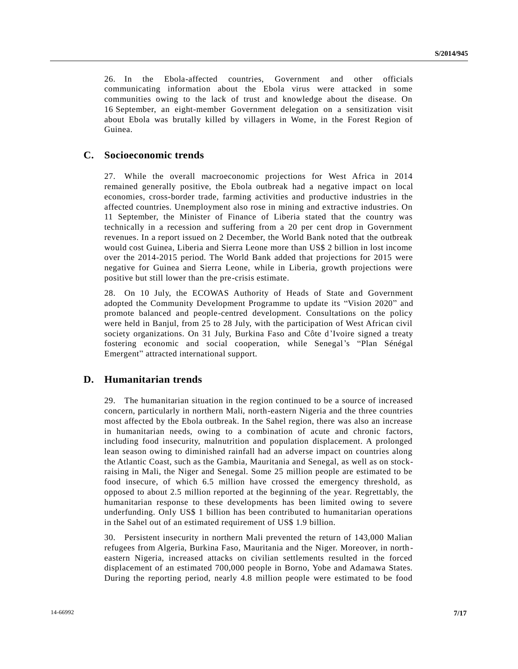26. In the Ebola-affected countries, Government and other officials communicating information about the Ebola virus were attacked in some communities owing to the lack of trust and knowledge about the disease. On 16 September, an eight-member Government delegation on a sensitization visit about Ebola was brutally killed by villagers in Wome, in the Forest Region of Guinea.

### **C. Socioeconomic trends**

27. While the overall macroeconomic projections for West Africa in 2014 remained generally positive, the Ebola outbreak had a negative impact on local economies, cross-border trade, farming activities and productive industries in the affected countries. Unemployment also rose in mining and extractive industries. On 11 September, the Minister of Finance of Liberia stated that the country was technically in a recession and suffering from a 20 per cent drop in Government revenues. In a report issued on 2 December, the World Bank noted that the outbreak would cost Guinea, Liberia and Sierra Leone more than US\$ 2 billion in lost income over the 2014-2015 period. The World Bank added that projections for 2015 were negative for Guinea and Sierra Leone, while in Liberia, growth projections were positive but still lower than the pre-crisis estimate.

28. On 10 July, the ECOWAS Authority of Heads of State and Government adopted the Community Development Programme to update its "Vision 2020" and promote balanced and people-centred development. Consultations on the policy were held in Banjul, from 25 to 28 July, with the participation of West African civil society organizations. On 31 July, Burkina Faso and Côte d'Ivoire signed a treaty fostering economic and social cooperation, while Senegal's "Plan Sénégal Emergent" attracted international support.

### **D. Humanitarian trends**

29. The humanitarian situation in the region continued to be a source of increased concern, particularly in northern Mali, north-eastern Nigeria and the three countries most affected by the Ebola outbreak. In the Sahel region, there was also an increase in humanitarian needs, owing to a combination of acute and chronic factors, including food insecurity, malnutrition and population displacement. A prolonged lean season owing to diminished rainfall had an adverse impact on countries along the Atlantic Coast, such as the Gambia, Mauritania and Senegal, as well as on stockraising in Mali, the Niger and Senegal. Some 25 million people are estimated to be food insecure, of which 6.5 million have crossed the emergency threshold, as opposed to about 2.5 million reported at the beginning of the yea r. Regrettably, the humanitarian response to these developments has been limited owing to severe underfunding. Only US\$ 1 billion has been contributed to humanitarian operations in the Sahel out of an estimated requirement of US\$ 1.9 billion.

30. Persistent insecurity in northern Mali prevented the return of 143,000 Malian refugees from Algeria, Burkina Faso, Mauritania and the Niger. Moreover, in north eastern Nigeria, increased attacks on civilian settlements resulted in the forced displacement of an estimated 700,000 people in Borno, Yobe and Adamawa States. During the reporting period, nearly 4.8 million people were estimated to be food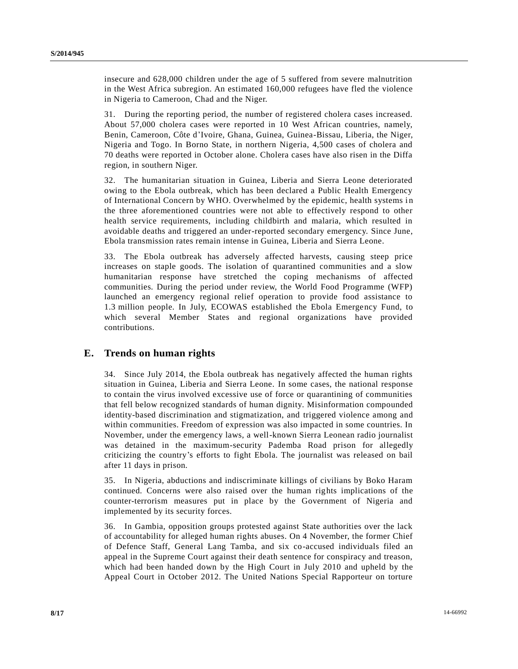insecure and 628,000 children under the age of 5 suffered from severe malnutrition in the West Africa subregion. An estimated 160,000 refugees have fled the violence in Nigeria to Cameroon, Chad and the Niger.

31. During the reporting period, the number of registered cholera cases increased. About 57,000 cholera cases were reported in 10 West African countries, namely, Benin, Cameroon, Côte d'Ivoire, Ghana, Guinea, Guinea-Bissau, Liberia, the Niger, Nigeria and Togo. In Borno State, in northern Nigeria, 4,500 cases of cholera and 70 deaths were reported in October alone. Cholera cases have also risen in the Diffa region, in southern Niger.

32. The humanitarian situation in Guinea, Liberia and Sierra Leone deteriorated owing to the Ebola outbreak, which has been declared a Public Health Emergency of International Concern by WHO. Overwhelmed by the epidemic, health systems i n the three aforementioned countries were not able to effectively respond to other health service requirements, including childbirth and malaria, which resulted in avoidable deaths and triggered an under-reported secondary emergency. Since June, Ebola transmission rates remain intense in Guinea, Liberia and Sierra Leone.

33. The Ebola outbreak has adversely affected harvests, causing steep price increases on staple goods. The isolation of quarantined communities and a slow humanitarian response have stretched the coping mechanisms of affected communities. During the period under review, the World Food Programme (WFP) launched an emergency regional relief operation to provide food assistance to 1.3 million people. In July, ECOWAS established the Ebola Emergency Fund, to which several Member States and regional organizations have provided contributions.

### **E. Trends on human rights**

34. Since July 2014, the Ebola outbreak has negatively affected the human rights situation in Guinea, Liberia and Sierra Leone. In some cases, the national response to contain the virus involved excessive use of force or quarantining of communities that fell below recognized standards of human dignity. Misinformation compounded identity-based discrimination and stigmatization, and triggered violence among and within communities. Freedom of expression was also impacted in some countries. In November, under the emergency laws, a well-known Sierra Leonean radio journalist was detained in the maximum-security Pademba Road prison for allegedly criticizing the country's efforts to fight Ebola. The journalist was released on bail after 11 days in prison.

35. In Nigeria, abductions and indiscriminate killings of civilians by Boko Haram continued. Concerns were also raised over the human rights implications of the counter-terrorism measures put in place by the Government of Nigeria and implemented by its security forces.

36. In Gambia, opposition groups protested against State authorities over the lack of accountability for alleged human rights abuses. On 4 November, the former Chief of Defence Staff, General Lang Tamba, and six co-accused individuals filed an appeal in the Supreme Court against their death sentence for conspiracy and treason, which had been handed down by the High Court in July 2010 and upheld by the Appeal Court in October 2012. The United Nations Special Rapporteur on torture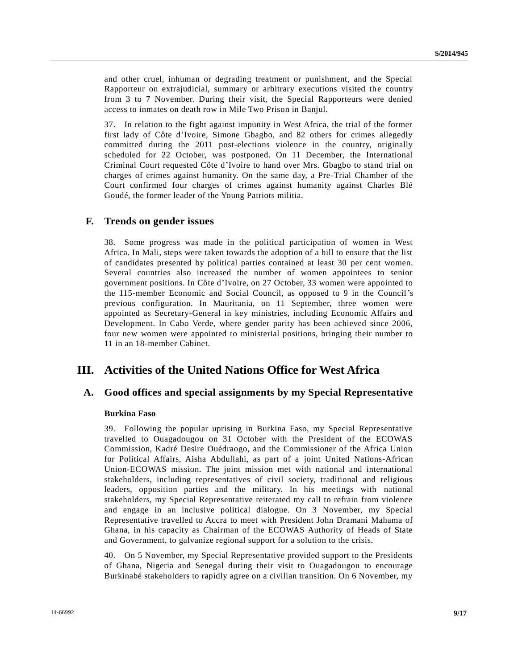and other cruel, inhuman or degrading treatment or punishment, and the Special Rapporteur on extrajudicial, summary or arbitrary executions visited the country from 3 to 7 November. During their visit, the Special Rapporteurs were denied access to inmates on death row in Mile Two Prison in Banjul.

37. In relation to the fight against impunity in West Africa, the trial of the former first lady of Côte d'Ivoire, Simone Gbagbo, and 82 others for crimes allegedly committed during the 2011 post-elections violence in the country, originally scheduled for 22 October, was postponed. On 11 December, the International Criminal Court requested Côte d'Ivoire to hand over Mrs. Gbagbo to stand trial on charges of crimes against humanity. On the same day, a Pre-Trial Chamber of the Court confirmed four charges of crimes against humanity against Charles Blé Goudé, the former leader of the Young Patriots militia.

#### **F. Trends on gender issues**

38. Some progress was made in the political participation of women in West Africa. In Mali, steps were taken towards the adoption of a bill to ensure that the list of candidates presented by political parties contained at least 30 per cent women. Several countries also increased the number of women appointees to senior government positions. In Côte d'Ivoire, on 27 October, 33 women were appointed to the 115-member Economic and Social Council, as opposed to 9 in the Council's previous configuration. In Mauritania, on 11 September, three women were appointed as Secretary-General in key ministries, including Economic Affairs and Development. In Cabo Verde, where gender parity has been achieved since 2006, four new women were appointed to ministerial positions, bringing their number to 11 in an 18-member Cabinet.

## **III. Activities of the United Nations Office for West Africa**

#### **A. Good offices and special assignments by my Special Representative**

#### **Burkina Faso**

39. Following the popular uprising in Burkina Faso, my Special Representative travelled to Ouagadougou on 31 October with the President of the ECOWAS Commission, Kadré Desire Ouédraogo, and the Commissioner of the Africa Union for Political Affairs, Aisha Abdullahi, as part of a joint United Nations-African Union-ECOWAS mission. The joint mission met with national and international stakeholders, including representatives of civil society, traditional and religious leaders, opposition parties and the military. In his meetings with national stakeholders, my Special Representative reiterated my call to refrain from violence and engage in an inclusive political dialogue. On 3 November, my Special Representative travelled to Accra to meet with President John Dramani Mahama of Ghana, in his capacity as Chairman of the ECOWAS Authority of Heads of State and Government, to galvanize regional support for a solution to the crisis.

40. On 5 November, my Special Representative provided support to the Presidents of Ghana, Nigeria and Senegal during their visit to Ouagadougou to encourage Burkinabé stakeholders to rapidly agree on a civilian transition. On 6 November, my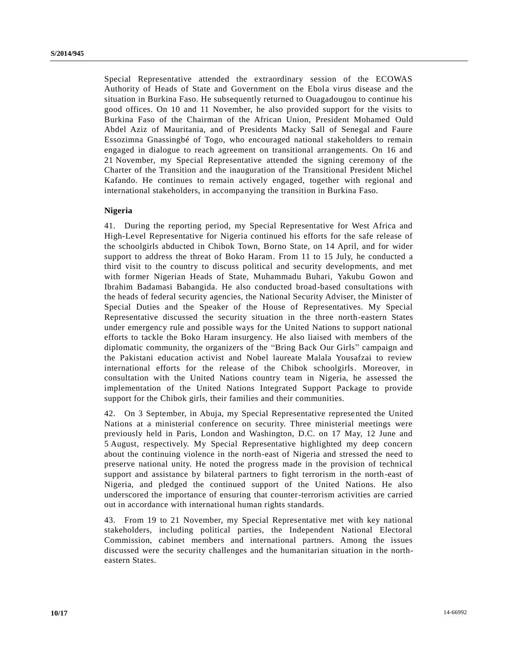Special Representative attended the extraordinary session of the ECOWAS Authority of Heads of State and Government on the Ebola virus disease and the situation in Burkina Faso. He subsequently returned to Ouagadougou to continue his good offices. On 10 and 11 November, he also provided support for the visits to Burkina Faso of the Chairman of the African Union, President Mohamed Ould Abdel Aziz of Mauritania, and of Presidents Macky Sall of Senegal and Faure Essozimna Gnassingbé of Togo, who encouraged national stakeholders to remain engaged in dialogue to reach agreement on transitional arrangements. On 16 and 21 November, my Special Representative attended the signing ceremony of the Charter of the Transition and the inauguration of the Transitional President Michel Kafando. He continues to remain actively engaged, together with regional and international stakeholders, in accompanying the transition in Burkina Faso.

#### **Nigeria**

41. During the reporting period, my Special Representative for West Africa and High-Level Representative for Nigeria continued his efforts for the safe release of the schoolgirls abducted in Chibok Town, Borno State, on 14 April, and for wider support to address the threat of Boko Haram. From 11 to 15 July, he conducted a third visit to the country to discuss political and security developments, and met with former Nigerian Heads of State, Muhammadu Buhari, Yakubu Gowon and Ibrahim Badamasi Babangida. He also conducted broad-based consultations with the heads of federal security agencies, the National Security Adviser, the Minister of Special Duties and the Speaker of the House of Representatives. My Special Representative discussed the security situation in the three north-eastern States under emergency rule and possible ways for the United Nations to support national efforts to tackle the Boko Haram insurgency. He also liaised with members of the diplomatic community, the organizers of the "Bring Back Our Girls" campaign and the Pakistani education activist and Nobel laureate Malala Yousafzai to review international efforts for the release of the Chibok schoolgirls. Moreover, in consultation with the United Nations country team in Nigeria, he assessed the implementation of the United Nations Integrated Support Package to provide support for the Chibok girls, their families and their communities.

42. On 3 September, in Abuja, my Special Representative represented the United Nations at a ministerial conference on security. Three ministerial meetings were previously held in Paris, London and Washington, D.C. on 17 May, 12 June and 5 August, respectively. My Special Representative highlighted my deep concern about the continuing violence in the north-east of Nigeria and stressed the need to preserve national unity. He noted the progress made in the provision of technical support and assistance by bilateral partners to fight terrorism in the north-east of Nigeria, and pledged the continued support of the United Nations. He also underscored the importance of ensuring that counter-terrorism activities are carried out in accordance with international human rights standards.

43. From 19 to 21 November, my Special Representative met with key national stakeholders, including political parties, the Independent National Electoral Commission, cabinet members and international partners. Among the issues discussed were the security challenges and the humanitarian situation in the northeastern States.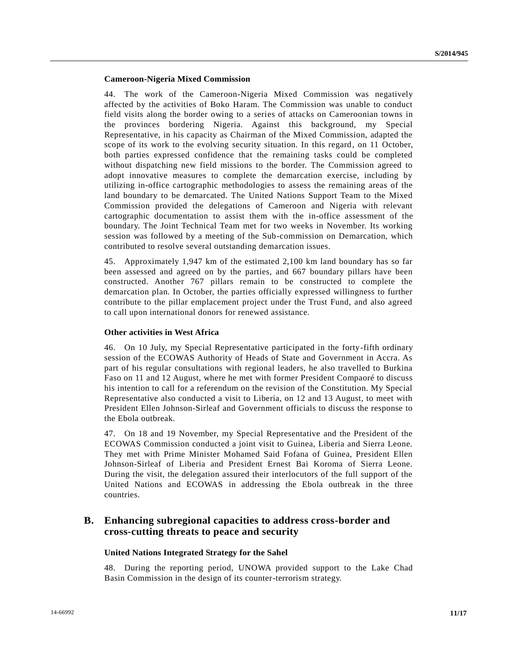#### **Cameroon-Nigeria Mixed Commission**

44. The work of the Cameroon-Nigeria Mixed Commission was negatively affected by the activities of Boko Haram. The Commission was unable to conduct field visits along the border owing to a series of attacks on Cameroonian towns in the provinces bordering Nigeria. Against this background, my Special Representative, in his capacity as Chairman of the Mixed Commission, adapted the scope of its work to the evolving security situation. In this regard, on 11 October, both parties expressed confidence that the remaining tasks could be completed without dispatching new field missions to the border. The Commission agreed to adopt innovative measures to complete the demarcation exercise, including by utilizing in-office cartographic methodologies to assess the remaining areas of the land boundary to be demarcated. The United Nations Support Team to the Mixed Commission provided the delegations of Cameroon and Nigeria with relevant cartographic documentation to assist them with the in-office assessment of the boundary. The Joint Technical Team met for two weeks in November. Its working session was followed by a meeting of the Sub-commission on Demarcation, which contributed to resolve several outstanding demarcation issues.

45. Approximately 1,947 km of the estimated 2,100 km land boundary has so far been assessed and agreed on by the parties, and 667 boundary pillars have been constructed. Another 767 pillars remain to be constructed to complete the demarcation plan. In October, the parties officially expressed willingness to further contribute to the pillar emplacement project under the Trust Fund, and also agreed to call upon international donors for renewed assistance.

#### **Other activities in West Africa**

46. On 10 July, my Special Representative participated in the forty-fifth ordinary session of the ECOWAS Authority of Heads of State and Government in Accra. As part of his regular consultations with regional leaders, he also travelled to Burkina Faso on 11 and 12 August, where he met with former President Compaoré to discuss his intention to call for a referendum on the revision of the Constitution. My Special Representative also conducted a visit to Liberia, on 12 and 13 August, to meet with President Ellen Johnson-Sirleaf and Government officials to discuss the response to the Ebola outbreak.

47. On 18 and 19 November, my Special Representative and the President of the ECOWAS Commission conducted a joint visit to Guinea, Liberia and Sierra Leone. They met with Prime Minister Mohamed Said Fofana of Guinea, President Ellen Johnson-Sirleaf of Liberia and President Ernest Bai Koroma of Sierra Leone. During the visit, the delegation assured their interlocutors of the full support of the United Nations and ECOWAS in addressing the Ebola outbreak in the three countries.

### **B. Enhancing subregional capacities to address cross-border and cross-cutting threats to peace and security**

#### **United Nations Integrated Strategy for the Sahel**

48. During the reporting period, UNOWA provided support to the Lake Chad Basin Commission in the design of its counter-terrorism strategy.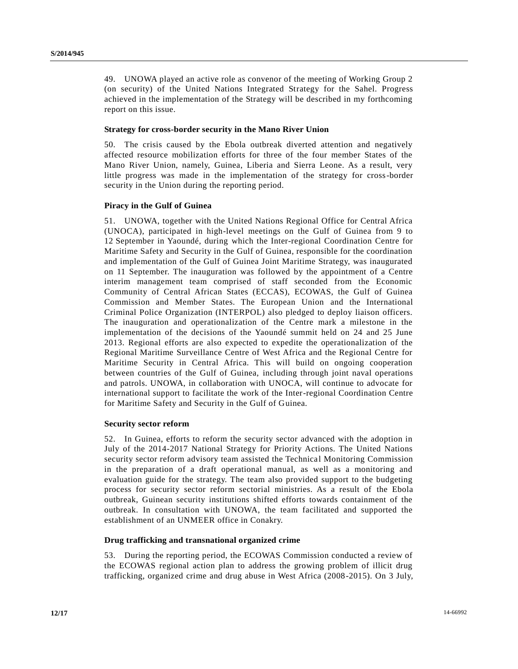49. UNOWA played an active role as convenor of the meeting of Working Group 2 (on security) of the United Nations Integrated Strategy for the Sahel. Progress achieved in the implementation of the Strategy will be described in my forthcoming report on this issue.

#### **Strategy for cross-border security in the Mano River Union**

50. The crisis caused by the Ebola outbreak diverted attention and negatively affected resource mobilization efforts for three of the four member States of the Mano River Union, namely, Guinea, Liberia and Sierra Leone. As a result, very little progress was made in the implementation of the strategy for cross-border security in the Union during the reporting period.

#### **Piracy in the Gulf of Guinea**

51. UNOWA, together with the United Nations Regional Office for Central Africa (UNOCA), participated in high-level meetings on the Gulf of Guinea from 9 to 12 September in Yaoundé, during which the Inter-regional Coordination Centre for Maritime Safety and Security in the Gulf of Guinea, responsible for the coordination and implementation of the Gulf of Guinea Joint Maritime Strategy, was inaugurated on 11 September. The inauguration was followed by the appointment of a Centre interim management team comprised of staff seconded from the Economic Community of Central African States (ECCAS), ECOWAS, the Gulf of Guinea Commission and Member States. The European Union and the International Criminal Police Organization (INTERPOL) also pledged to deploy liaison officers. The inauguration and operationalization of the Centre mark a milestone in the implementation of the decisions of the Yaoundé summit held on 24 and 25 June 2013. Regional efforts are also expected to expedite the operationalization of the Regional Maritime Surveillance Centre of West Africa and the Regional Centre for Maritime Security in Central Africa. This will build on ongoing cooperation between countries of the Gulf of Guinea, including through joint naval operations and patrols. UNOWA, in collaboration with UNOCA, will continue to advocate for international support to facilitate the work of the Inter-regional Coordination Centre for Maritime Safety and Security in the Gulf of Guinea.

#### **Security sector reform**

52. In Guinea, efforts to reform the security sector advanced with the adoption in July of the 2014-2017 National Strategy for Priority Actions. The United Nations security sector reform advisory team assisted the Technical Monitoring Commission in the preparation of a draft operational manual, as well as a monitoring and evaluation guide for the strategy. The team also provided support to the budgeting process for security sector reform sectorial ministries. As a result of the Ebola outbreak, Guinean security institutions shifted efforts towards containment of the outbreak. In consultation with UNOWA, the team facilitated and supported the establishment of an UNMEER office in Conakry.

#### **Drug trafficking and transnational organized crime**

53. During the reporting period, the ECOWAS Commission conducted a review of the ECOWAS regional action plan to address the growing problem of illicit drug trafficking, organized crime and drug abuse in West Africa (2008-2015). On 3 July,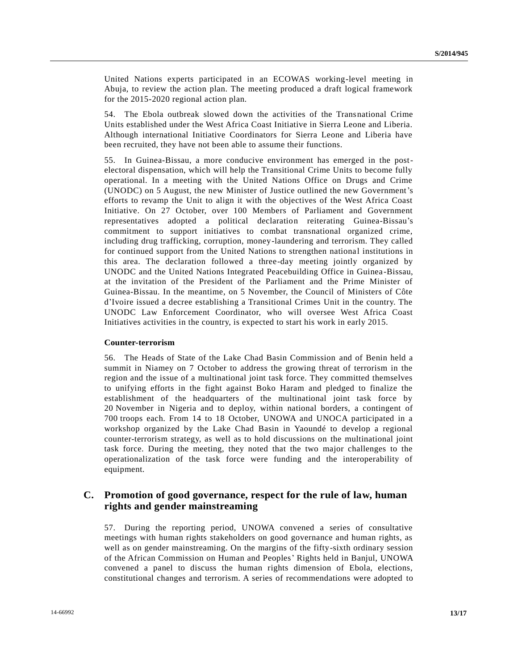United Nations experts participated in an ECOWAS working-level meeting in Abuja, to review the action plan. The meeting produced a draft logical framework for the 2015-2020 regional action plan.

54. The Ebola outbreak slowed down the activities of the Transnational Crime Units established under the West Africa Coast Initiative in Sierra Leone and Liberia. Although international Initiative Coordinators for Sierra Leone and Liberia have been recruited, they have not been able to assume their functions.

55. In Guinea-Bissau, a more conducive environment has emerged in the postelectoral dispensation, which will help the Transitional Crime Units to become fully operational. In a meeting with the United Nations Office on Drugs and Crime (UNODC) on 5 August, the new Minister of Justice outlined the new Government's efforts to revamp the Unit to align it with the objectives of the West Africa Coast Initiative. On 27 October, over 100 Members of Parliament and Government representatives adopted a political declaration reiterating Guinea-Bissau's commitment to support initiatives to combat transnational organized crime, including drug trafficking, corruption, money-laundering and terrorism. They called for continued support from the United Nations to strengthen nationa l institutions in this area. The declaration followed a three-day meeting jointly organized by UNODC and the United Nations Integrated Peacebuilding Office in Guinea -Bissau, at the invitation of the President of the Parliament and the Prime Minister of Guinea-Bissau. In the meantime, on 5 November, the Council of Ministers of Côte d'Ivoire issued a decree establishing a Transitional Crimes Unit in the country. The UNODC Law Enforcement Coordinator, who will oversee West Africa Coast Initiatives activities in the country, is expected to start his work in early 2015.

#### **Counter-terrorism**

56. The Heads of State of the Lake Chad Basin Commission and of Benin held a summit in Niamey on 7 October to address the growing threat of terrorism in the region and the issue of a multinational joint task force. They committed themselves to unifying efforts in the fight against Boko Haram and pledged to finalize the establishment of the headquarters of the multinational joint task force by 20 November in Nigeria and to deploy, within national borders, a contingent of 700 troops each. From 14 to 18 October, UNOWA and UNOCA participated in a workshop organized by the Lake Chad Basin in Yaoundé to develop a regional counter-terrorism strategy, as well as to hold discussions on the multinational joint task force. During the meeting, they noted that the two major challenges to the operationalization of the task force were funding and the interoperability of equipment.

### **C. Promotion of good governance, respect for the rule of law, human rights and gender mainstreaming**

57. During the reporting period, UNOWA convened a series of consultative meetings with human rights stakeholders on good governance and human rights, as well as on gender mainstreaming. On the margins of the fifty-sixth ordinary session of the African Commission on Human and Peoples' Rights held in Banjul, UNOWA convened a panel to discuss the human rights dimension of Ebola, elections, constitutional changes and terrorism. A series of recommendations were adopted to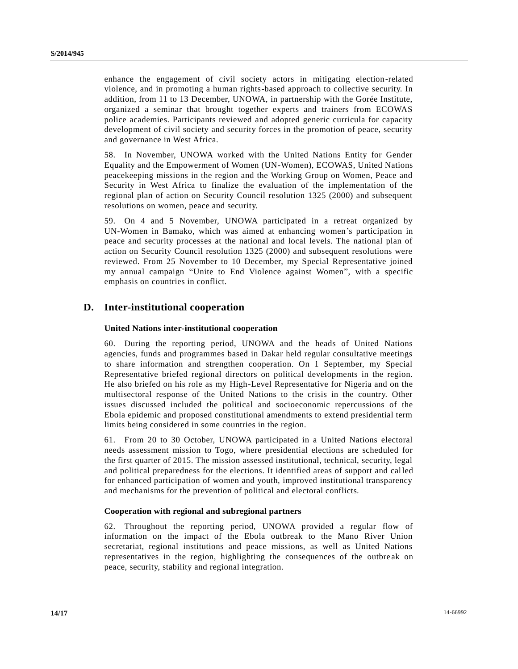enhance the engagement of civil society actors in mitigating election-related violence, and in promoting a human rights-based approach to collective security. In addition, from 11 to 13 December, UNOWA, in partnership with the Gorée Institute, organized a seminar that brought together experts and trainers from ECOWAS police academies. Participants reviewed and adopted generic curricula for capacity development of civil society and security forces in the promotion of peace, security and governance in West Africa.

58. In November, UNOWA worked with the United Nations Entity for Gender Equality and the Empowerment of Women (UN-Women), ECOWAS, United Nations peacekeeping missions in the region and the Working Group on Women, Peace and Security in West Africa to finalize the evaluation of the implementation of the regional plan of action on Security Council resolution 1325 (2000) and subsequent resolutions on women, peace and security.

59. On 4 and 5 November, UNOWA participated in a retreat organized by UN-Women in Bamako, which was aimed at enhancing women's participation in peace and security processes at the national and local levels. The national plan of action on Security Council resolution 1325 (2000) and subsequent resolutions were reviewed. From 25 November to 10 December, my Special Representative joined my annual campaign "Unite to End Violence against Women", with a specific emphasis on countries in conflict.

### **D. Inter-institutional cooperation**

#### **United Nations inter-institutional cooperation**

60. During the reporting period, UNOWA and the heads of United Nations agencies, funds and programmes based in Dakar held regular consultative meetings to share information and strengthen cooperation. On 1 September, my Special Representative briefed regional directors on political developments in the region. He also briefed on his role as my High-Level Representative for Nigeria and on the multisectoral response of the United Nations to the crisis in the country. Other issues discussed included the political and socioeconomic repercussions of the Ebola epidemic and proposed constitutional amendments to extend presidential term limits being considered in some countries in the region.

61. From 20 to 30 October, UNOWA participated in a United Nations electoral needs assessment mission to Togo, where presidential elections are scheduled for the first quarter of 2015. The mission assessed institutional, technical, security, legal and political preparedness for the elections. It identified areas of support and called for enhanced participation of women and youth, improved institutional transparency and mechanisms for the prevention of political and electoral conflicts.

#### **Cooperation with regional and subregional partners**

62. Throughout the reporting period, UNOWA provided a regular flow of information on the impact of the Ebola outbreak to the Mano River Union secretariat, regional institutions and peace missions, as well as United Nations representatives in the region, highlighting the consequences of the outbre ak on peace, security, stability and regional integration.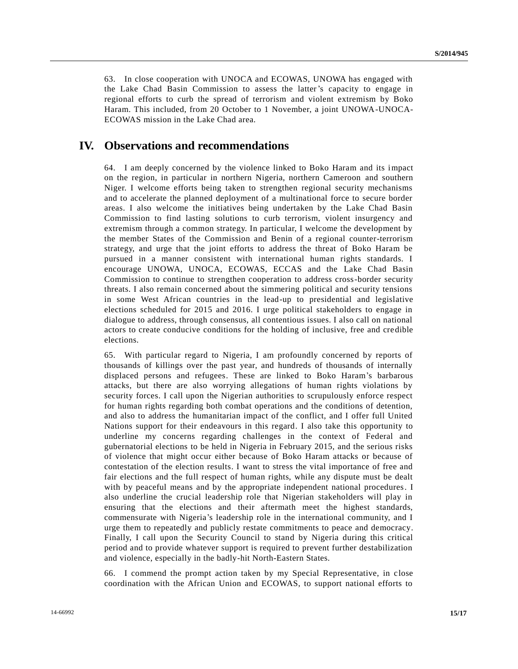63. In close cooperation with UNOCA and ECOWAS, UNOWA has engaged with the Lake Chad Basin Commission to assess the latter's capacity to engage in regional efforts to curb the spread of terrorism and violent extremism by Boko Haram. This included, from 20 October to 1 November, a joint UNOWA-UNOCA-ECOWAS mission in the Lake Chad area.

## **IV. Observations and recommendations**

64. I am deeply concerned by the violence linked to Boko Haram and its impact on the region, in particular in northern Nigeria, northern Cameroon and southern Niger. I welcome efforts being taken to strengthen regional security mechanisms and to accelerate the planned deployment of a multinational force to secure border areas. I also welcome the initiatives being undertaken by the Lake Chad Basin Commission to find lasting solutions to curb terrorism, violent insurgency and extremism through a common strategy. In particular, I welcome the development by the member States of the Commission and Benin of a regional counter-terrorism strategy, and urge that the joint efforts to address the threat of Boko Haram be pursued in a manner consistent with international human rights standards. I encourage UNOWA, UNOCA, ECOWAS, ECCAS and the Lake Chad Basin Commission to continue to strengthen cooperation to address cross-border security threats. I also remain concerned about the simmering political and security tensions in some West African countries in the lead-up to presidential and legislative elections scheduled for 2015 and 2016. I urge political stakeholders to engage in dialogue to address, through consensus, all contentious issues. I also call on national actors to create conducive conditions for the holding of inclusive, free and cre dible elections.

65. With particular regard to Nigeria, I am profoundly concerned by reports of thousands of killings over the past year, and hundreds of thousands of internally displaced persons and refugees. These are linked to Boko Haram's barbarous attacks, but there are also worrying allegations of human rights violations by security forces. I call upon the Nigerian authorities to scrupulously enforce respect for human rights regarding both combat operations and the conditions of detention, and also to address the humanitarian impact of the conflict, and I offer full United Nations support for their endeavours in this regard. I also take this opportunity to underline my concerns regarding challenges in the context of Federal and gubernatorial elections to be held in Nigeria in February 2015, and the serious risks of violence that might occur either because of Boko Haram attacks or because of contestation of the election results. I want to stress the vital importance of free and fair elections and the full respect of human rights, while any dispute must be dealt with by peaceful means and by the appropriate independent national procedures. I also underline the crucial leadership role that Nigerian stakeholders will play in ensuring that the elections and their aftermath meet the highest standards, commensurate with Nigeria's leadership role in the international community, and I urge them to repeatedly and publicly restate commitments to peace and democracy. Finally, I call upon the Security Council to stand by Nigeria during this critical period and to provide whatever support is required to prevent further destabilization and violence, especially in the badly-hit North-Eastern States.

66. I commend the prompt action taken by my Special Representative, in c lose coordination with the African Union and ECOWAS, to support national efforts to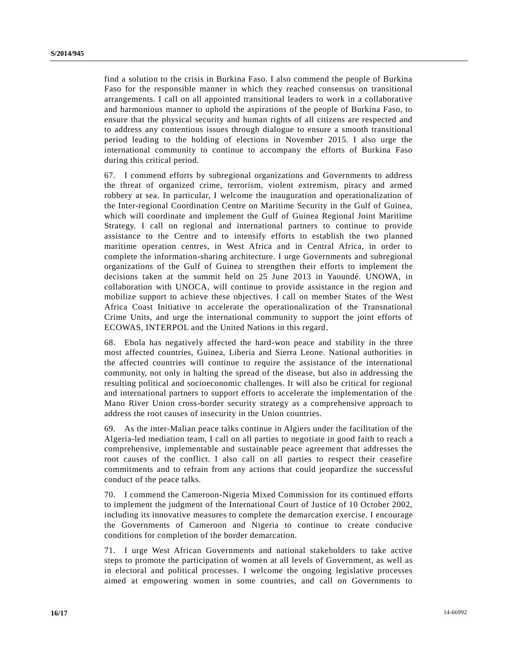find a solution to the crisis in Burkina Faso. I also commend the people of Burkina Faso for the responsible manner in which they reached consensus on transitional arrangements. I call on all appointed transitional leaders to work in a collaborative and harmonious manner to uphold the aspirations of the people of Burkina Faso, to ensure that the physical security and human rights of all citizens are respected and to address any contentious issues through dialogue to ensure a smooth transitional period leading to the holding of elections in November 2015. I also urge the international community to continue to accompany the efforts of Burkina Faso during this critical period.

67. I commend efforts by subregional organizations and Governments to address the threat of organized crime, terrorism, violent extremism, piracy and armed robbery at sea. In particular, I welcome the inauguration and operationalization of the Inter-regional Coordination Centre on Maritime Security in the Gulf of Guinea, which will coordinate and implement the Gulf of Guinea Regional Joint Maritime Strategy. I call on regional and international partners to continue to provide assistance to the Centre and to intensify efforts to establish the two planned maritime operation centres, in West Africa and in Central Africa, in order to complete the information-sharing architecture. I urge Governments and subregional organizations of the Gulf of Guinea to strengthen their efforts to implement the decisions taken at the summit held on 25 June 2013 in Yaoundé. UNOWA, in collaboration with UNOCA, will continue to provide assistance in the region and mobilize support to achieve these objectives. I call on member States of the West Africa Coast Initiative to accelerate the operationalization of the Transnational Crime Units, and urge the international community to support the joint efforts of ECOWAS, INTERPOL and the United Nations in this regard.

68. Ebola has negatively affected the hard-won peace and stability in the three most affected countries, Guinea, Liberia and Sierra Leone. National authorities in the affected countries will continue to require the assistance of the international community, not only in halting the spread of the disease, but also in addressing the resulting political and socioeconomic challenges. It will also be critical for regional and international partners to support efforts to accelerate the implementation of the Mano River Union cross-border security strategy as a comprehensive approach to address the root causes of insecurity in the Union countries.

69. As the inter-Malian peace talks continue in Algiers under the facilitation of the Algeria-led mediation team, I call on all parties to negotiate in good faith to reach a comprehensive, implementable and sustainable peace agreement that addresses the root causes of the conflict. I also call on all parties to respect their ceasefire commitments and to refrain from any actions that could jeopardize the successful conduct of the peace talks.

70. I commend the Cameroon-Nigeria Mixed Commission for its continued efforts to implement the judgment of the International Court of Justice of 10 October 2002, including its innovative measures to complete the demarcation exercise. I encourage the Governments of Cameroon and Nigeria to continue to create conducive conditions for completion of the border demarcation.

71. I urge West African Governments and national stakeholders to take active steps to promote the participation of women at all levels of Government, as well as in electoral and political processes. I welcome the ongoing legislative processes aimed at empowering women in some countries, and call on Governments to